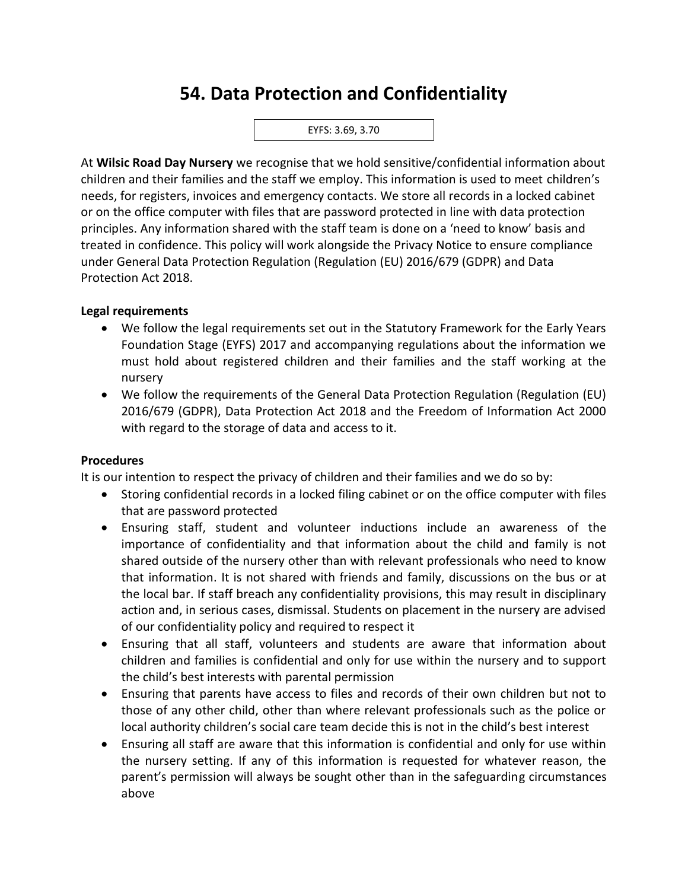# **54. Data Protection and Confidentiality**



At **Wilsic Road Day Nursery** we recognise that we hold sensitive/confidential information about children and their families and the staff we employ. This information is used to meet children's needs, for registers, invoices and emergency contacts. We store all records in a locked cabinet or on the office computer with files that are password protected in line with data protection principles. Any information shared with the staff team is done on a 'need to know' basis and treated in confidence. This policy will work alongside the Privacy Notice to ensure compliance under General Data Protection Regulation (Regulation (EU) 2016/679 (GDPR) and Data Protection Act 2018.

### **Legal requirements**

- We follow the legal requirements set out in the Statutory Framework for the Early Years Foundation Stage (EYFS) 2017 and accompanying regulations about the information we must hold about registered children and their families and the staff working at the nursery
- We follow the requirements of the General Data Protection Regulation (Regulation (EU) 2016/679 (GDPR), Data Protection Act 2018 and the Freedom of Information Act 2000 with regard to the storage of data and access to it.

#### **Procedures**

It is our intention to respect the privacy of children and their families and we do so by:

- Storing confidential records in a locked filing cabinet or on the office computer with files that are password protected
- Ensuring staff, student and volunteer inductions include an awareness of the importance of confidentiality and that information about the child and family is not shared outside of the nursery other than with relevant professionals who need to know that information. It is not shared with friends and family, discussions on the bus or at the local bar. If staff breach any confidentiality provisions, this may result in disciplinary action and, in serious cases, dismissal. Students on placement in the nursery are advised of our confidentiality policy and required to respect it
- Ensuring that all staff, volunteers and students are aware that information about children and families is confidential and only for use within the nursery and to support the child's best interests with parental permission
- Ensuring that parents have access to files and records of their own children but not to those of any other child, other than where relevant professionals such as the police or local authority children's social care team decide this is not in the child's best interest
- Ensuring all staff are aware that this information is confidential and only for use within the nursery setting. If any of this information is requested for whatever reason, the parent's permission will always be sought other than in the safeguarding circumstances above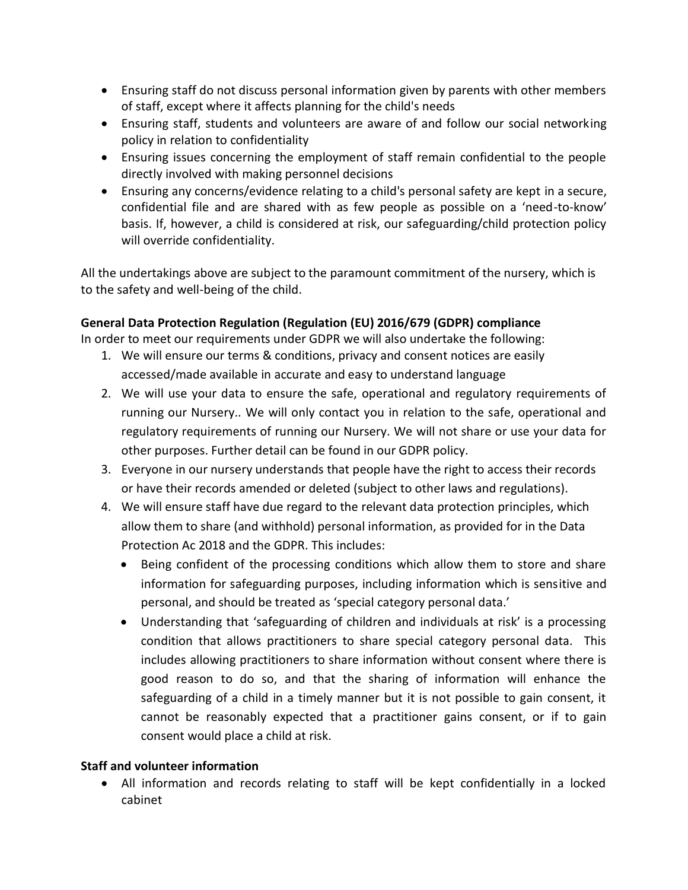- Ensuring staff do not discuss personal information given by parents with other members of staff, except where it affects planning for the child's needs
- Ensuring staff, students and volunteers are aware of and follow our social networking policy in relation to confidentiality
- Ensuring issues concerning the employment of staff remain confidential to the people directly involved with making personnel decisions
- Ensuring any concerns/evidence relating to a child's personal safety are kept in a secure, confidential file and are shared with as few people as possible on a 'need-to-know' basis. If, however, a child is considered at risk, our safeguarding/child protection policy will override confidentiality.

All the undertakings above are subject to the paramount commitment of the nursery, which is to the safety and well-being of the child.

## **General Data Protection Regulation (Regulation (EU) 2016/679 (GDPR) compliance**

In order to meet our requirements under GDPR we will also undertake the following:

- 1. We will ensure our terms & conditions, privacy and consent notices are easily accessed/made available in accurate and easy to understand language
- 2. We will use your data to ensure the safe, operational and regulatory requirements of running our Nursery.. We will only contact you in relation to the safe, operational and regulatory requirements of running our Nursery. We will not share or use your data for other purposes. Further detail can be found in our GDPR policy.
- 3. Everyone in our nursery understands that people have the right to access their records or have their records amended or deleted (subject to other laws and regulations).
- 4. We will ensure staff have due regard to the relevant data protection principles, which allow them to share (and withhold) personal information, as provided for in the Data Protection Ac 2018 and the GDPR. This includes:
	- Being confident of the processing conditions which allow them to store and share information for safeguarding purposes, including information which is sensitive and personal, and should be treated as 'special category personal data.'
	- Understanding that 'safeguarding of children and individuals at risk' is a processing condition that allows practitioners to share special category personal data. This includes allowing practitioners to share information without consent where there is good reason to do so, and that the sharing of information will enhance the safeguarding of a child in a timely manner but it is not possible to gain consent, it cannot be reasonably expected that a practitioner gains consent, or if to gain consent would place a child at risk.

## **Staff and volunteer information**

• All information and records relating to staff will be kept confidentially in a locked cabinet